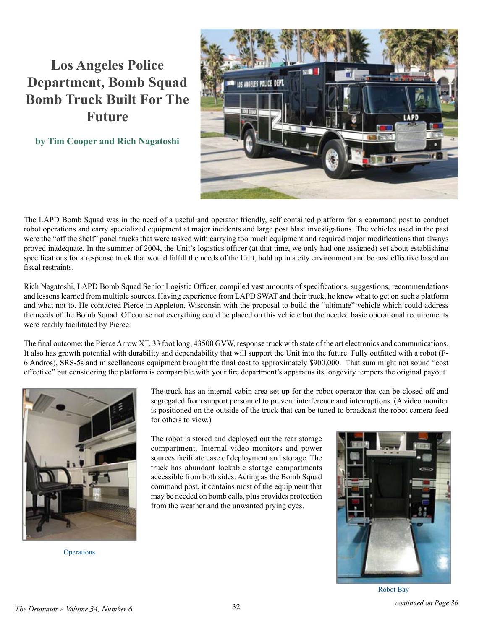## **Los Angeles Police Department, Bomb Squad Bomb Truck Built For The Future**

**by Tim Cooper and Rich Nagatoshi**



The LAPD Bomb Squad was in the need of a useful and operator friendly, self contained platform for a command post to conduct robot operations and carry specialized equipment at major incidents and large post blast investigations. The vehicles used in the past were the "off the shelf" panel trucks that were tasked with carrying too much equipment and required major modifications that always proved inadequate. In the summer of 2004, the Unit's logistics officer (at that time, we only had one assigned) set about establishing specifications for a response truck that would fulfill the needs of the Unit, hold up in a city environment and be cost effective based on fiscal restraints.

Rich Nagatoshi, LAPD Bomb Squad Senior Logistic Officer, compiled vast amounts of specifications, suggestions, recommendations and lessons learned from multiple sources. Having experience from LAPD SWAT and their truck, he knew what to get on such a platform and what not to. He contacted Pierce in Appleton, Wisconsin with the proposal to build the "ultimate" vehicle which could address the needs of the Bomb Squad. Of course not everything could be placed on this vehicle but the needed basic operational requirements were readily facilitated by Pierce.

The final outcome; the Pierce Arrow XT, 33 foot long, 43500 GVW, response truck with state of the art electronics and communications. It also has growth potential with durability and dependability that will support the Unit into the future. Fully outfitted with a robot (F-6 Andros), SRS-5s and miscellaneous equipment brought the final cost to approximately \$900,000. That sum might not sound "cost effective" but considering the platform is comparable with your fire department's apparatus its longevity tempers the original payout.



**Operations** 

The truck has an internal cabin area set up for the robot operator that can be closed off and segregated from support personnel to prevent interference and interruptions. (A video monitor is positioned on the outside of the truck that can be tuned to broadcast the robot camera feed for others to view.)

The robot is stored and deployed out the rear storage compartment. Internal video monitors and power sources facilitate ease of deployment and storage. The truck has abundant lockable storage compartments accessible from both sides. Acting as the Bomb Squad command post, it contains most of the equipment that may be needed on bomb calls, plus provides protection from the weather and the unwanted prying eyes.



Robot Bay